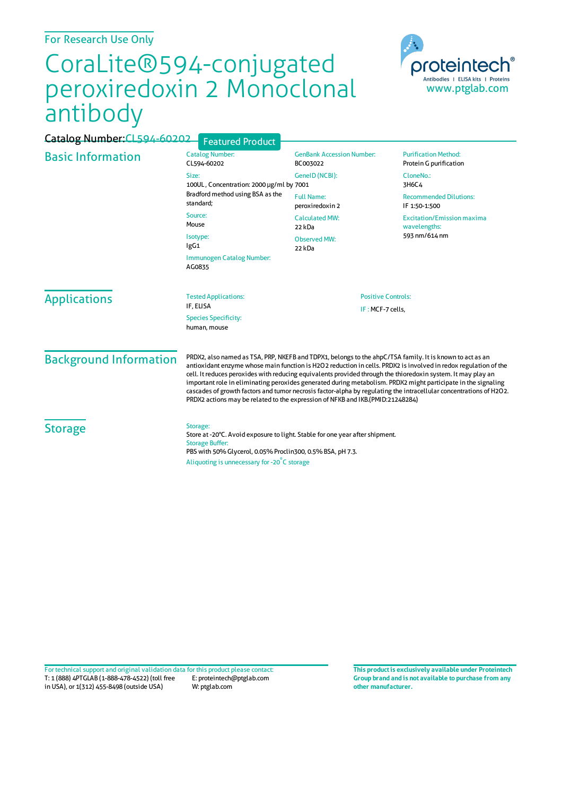For Research Use Only

## CoraLite®594-conjugated peroxiredoxin 2 Monoclonal antibody



| Catalog Number: CL594-60202   | <b>Featured Product</b>                                                                                                                                                                                                                                                                                                                                                                                                                                                                                                                                                                                                                                              |                                               |                                                                    |
|-------------------------------|----------------------------------------------------------------------------------------------------------------------------------------------------------------------------------------------------------------------------------------------------------------------------------------------------------------------------------------------------------------------------------------------------------------------------------------------------------------------------------------------------------------------------------------------------------------------------------------------------------------------------------------------------------------------|-----------------------------------------------|--------------------------------------------------------------------|
| <b>Basic Information</b>      | <b>Catalog Number:</b><br>CL594-60202                                                                                                                                                                                                                                                                                                                                                                                                                                                                                                                                                                                                                                | <b>GenBank Accession Number:</b><br>BC003022  | <b>Purification Method:</b><br>Protein G purification              |
|                               | Size:<br>100UL, Concentration: 2000 µg/ml by 7001                                                                                                                                                                                                                                                                                                                                                                                                                                                                                                                                                                                                                    | GeneID (NCBI):                                | CloneNo.:<br>3H6C4                                                 |
|                               | Bradford method using BSA as the<br>standard;                                                                                                                                                                                                                                                                                                                                                                                                                                                                                                                                                                                                                        | <b>Full Name:</b><br>peroxiredoxin 2          | <b>Recommended Dilutions:</b><br>IF 1:50-1:500                     |
|                               | Source:<br>Mouse                                                                                                                                                                                                                                                                                                                                                                                                                                                                                                                                                                                                                                                     | <b>Calculated MW:</b><br>22 kDa               | <b>Excitation/Emission maxima</b><br>wavelengths:<br>593 nm/614 nm |
|                               | Isotype:<br>IgG1<br>22 kDa                                                                                                                                                                                                                                                                                                                                                                                                                                                                                                                                                                                                                                           | <b>Observed MW:</b>                           |                                                                    |
|                               | Immunogen Catalog Number:<br>AG0835                                                                                                                                                                                                                                                                                                                                                                                                                                                                                                                                                                                                                                  |                                               |                                                                    |
| <b>Applications</b>           | <b>Tested Applications:</b><br>IF, ELISA                                                                                                                                                                                                                                                                                                                                                                                                                                                                                                                                                                                                                             | <b>Positive Controls:</b><br>IF: MCF-7 cells, |                                                                    |
|                               | <b>Species Specificity:</b><br>human, mouse                                                                                                                                                                                                                                                                                                                                                                                                                                                                                                                                                                                                                          |                                               |                                                                    |
| <b>Background Information</b> | PRDX2, also named as TSA, PRP, NKEFB and TDPX1, belongs to the ahpC/TSA family. It is known to act as an<br>antioxidant enzyme whose main function is H2O2 reduction in cells. PRDX2 is involved in redox regulation of the<br>cell. It reduces peroxides with reducing equivalents provided through the thioredoxin system. It may play an<br>important role in eliminating peroxides generated during metabolism. PRDX2 might participate in the signaling<br>cascades of growth factors and tumor necrosis factor-alpha by regulating the intracellular concentrations of H2O2.<br>PRDX2 actions may be related to the expression of NFKB and IKB.(PMID:21248284) |                                               |                                                                    |
| <b>Storage</b>                | Storage:<br>Store at -20°C. Avoid exposure to light. Stable for one year after shipment.<br><b>Storage Buffer:</b><br>PBS with 50% Glycerol, 0.05% Proclin300, 0.5% BSA, pH 7.3.<br>Aliquoting is unnecessary for -20°C storage                                                                                                                                                                                                                                                                                                                                                                                                                                      |                                               |                                                                    |

T: 1 (888) 4PTGLAB (1-888-478-4522) (toll free in USA), or 1(312) 455-8498 (outside USA) E: proteintech@ptglab.com W: ptglab.com Fortechnical support and original validation data forthis product please contact: **This productis exclusively available under Proteintech**

**Group brand and is not available to purchase from any other manufacturer.**